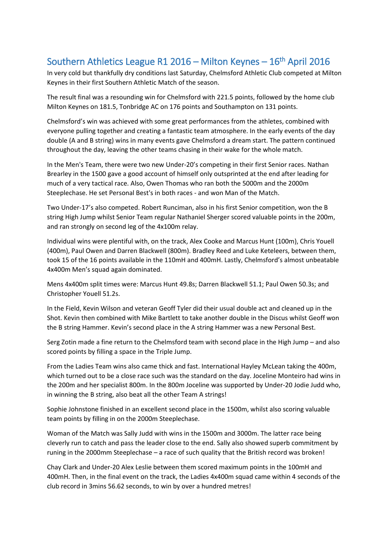## Southern Athletics League R1 2016 – Milton Keynes – 16<sup>th</sup> April 2016

In very cold but thankfully dry conditions last Saturday, Chelmsford Athletic Club competed at Milton Keynes in their first Southern Athletic Match of the season.

The result final was a resounding win for Chelmsford with 221.5 points, followed by the home club Milton Keynes on 181.5, Tonbridge AC on 176 points and Southampton on 131 points.

Chelmsford's win was achieved with some great performances from the athletes, combined with everyone pulling together and creating a fantastic team atmosphere. In the early events of the day double (A and B string) wins in many events gave Chelmsford a dream start. The pattern continued throughout the day, leaving the other teams chasing in their wake for the whole match.

In the Men's Team, there were two new Under-20's competing in their first Senior races. Nathan Brearley in the 1500 gave a good account of himself only outsprinted at the end after leading for much of a very tactical race. Also, Owen Thomas who ran both the 5000m and the 2000m Steeplechase. He set Personal Best's in both races - and won Man of the Match.

Two Under-17's also competed. Robert Runciman, also in his first Senior competition, won the B string High Jump whilst Senior Team regular Nathaniel Sherger scored valuable points in the 200m, and ran strongly on second leg of the 4x100m relay.

Individual wins were plentiful with, on the track, Alex Cooke and Marcus Hunt (100m), Chris Youell (400m), Paul Owen and Darren Blackwell (800m). Bradley Reed and Luke Keteleers, between them, took 15 of the 16 points available in the 110mH and 400mH. Lastly, Chelmsford's almost unbeatable 4x400m Men's squad again dominated.

Mens 4x400m split times were: Marcus Hunt 49.8s; Darren Blackwell 51.1; Paul Owen 50.3s; and Christopher Youell 51.2s.

In the Field, Kevin Wilson and veteran Geoff Tyler did their usual double act and cleaned up in the Shot. Kevin then combined with Mike Bartlett to take another double in the Discus whilst Geoff won the B string Hammer. Kevin's second place in the A string Hammer was a new Personal Best.

Serg Zotin made a fine return to the Chelmsford team with second place in the High Jump – and also scored points by filling a space in the Triple Jump.

From the Ladies Team wins also came thick and fast. International Hayley McLean taking the 400m, which turned out to be a close race such was the standard on the day. Joceline Monteiro had wins in the 200m and her specialist 800m. In the 800m Joceline was supported by Under-20 Jodie Judd who, in winning the B string, also beat all the other Team A strings!

Sophie Johnstone finished in an excellent second place in the 1500m, whilst also scoring valuable team points by filling in on the 2000m Steeplechase.

Woman of the Match was Sally Judd with wins in the 1500m and 3000m. The latter race being cleverly run to catch and pass the leader close to the end. Sally also showed superb commitment by runing in the 2000mm Steeplechase – a race of such quality that the British record was broken!

Chay Clark and Under-20 Alex Leslie between them scored maximum points in the 100mH and 400mH. Then, in the final event on the track, the Ladies 4x400m squad came within 4 seconds of the club record in 3mins 56.62 seconds, to win by over a hundred metres!